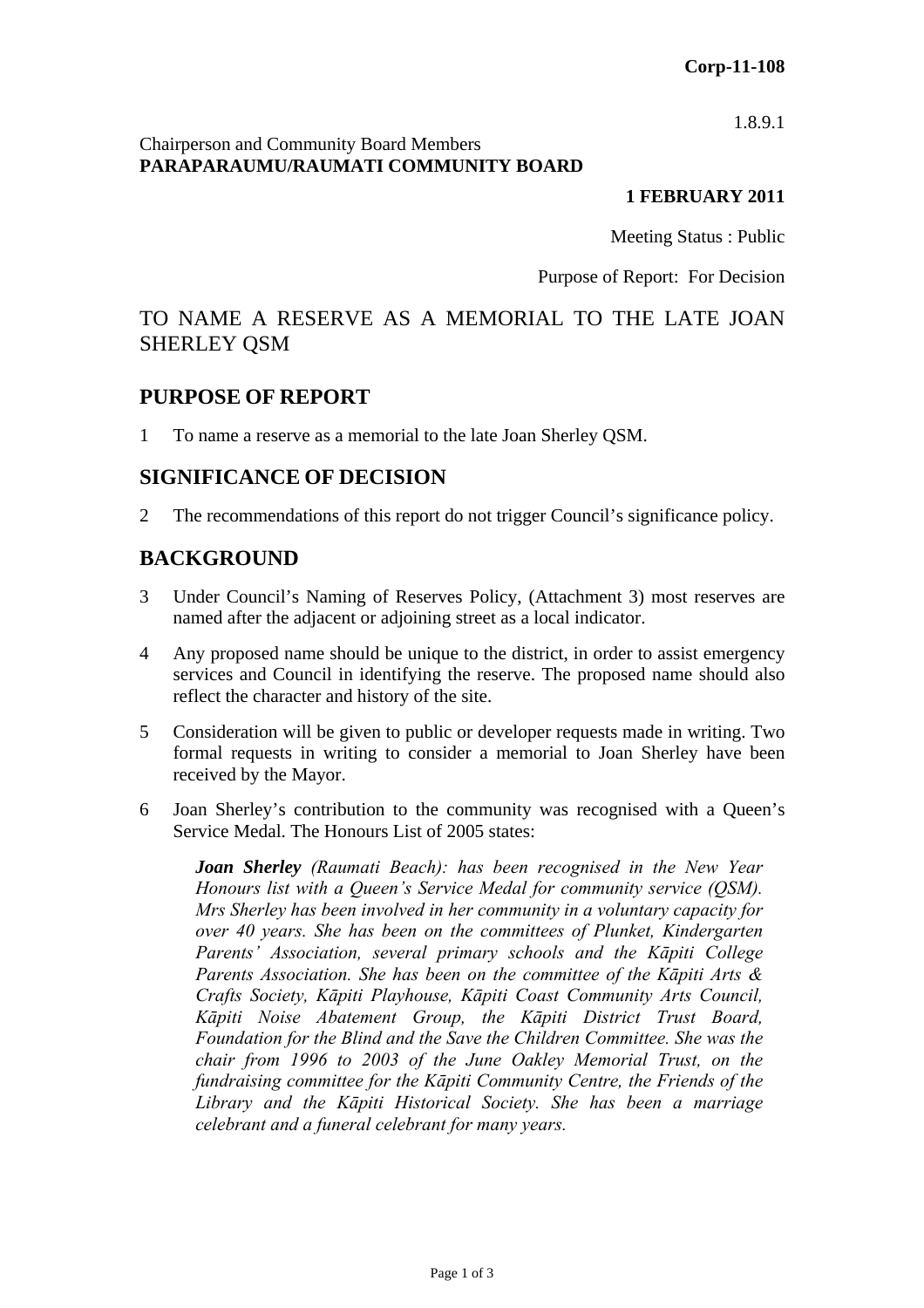1.8.9.1

#### Chairperson and Community Board Members **PARAPARAUMU/RAUMATI COMMUNITY BOARD**

#### **1 FEBRUARY 2011**

Meeting Status : Public

Purpose of Report: For Decision

# TO NAME A RESERVE AS A MEMORIAL TO THE LATE JOAN SHERLEY QSM

### **PURPOSE OF REPORT**

1 To name a reserve as a memorial to the late Joan Sherley QSM.

### **SIGNIFICANCE OF DECISION**

2 The recommendations of this report do not trigger Council's significance policy.

# **BACKGROUND**

- 3 Under Council's Naming of Reserves Policy, (Attachment 3) most reserves are named after the adjacent or adjoining street as a local indicator.
- 4 Any proposed name should be unique to the district, in order to assist emergency services and Council in identifying the reserve. The proposed name should also reflect the character and history of the site.
- 5 Consideration will be given to public or developer requests made in writing. Two formal requests in writing to consider a memorial to Joan Sherley have been received by the Mayor.
- 6 Joan Sherley's contribution to the community was recognised with a Queen's Service Medal. The Honours List of 2005 states:

*Joan Sherley (Raumati Beach): has been recognised in the New Year Honours list with a Queen's Service Medal for community service (QSM). Mrs Sherley has been involved in her community in a voluntary capacity for over 40 years. She has been on the committees of Plunket, Kindergarten Parents' Association, several primary schools and the Kāpiti College Parents Association. She has been on the committee of the Kāpiti Arts & Crafts Society, Kāpiti Playhouse, Kāpiti Coast Community Arts Council, Kāpiti Noise Abatement Group, the Kāpiti District Trust Board, Foundation for the Blind and the Save the Children Committee. She was the chair from 1996 to 2003 of the June Oakley Memorial Trust, on the fundraising committee for the Kāpiti Community Centre, the Friends of the Library and the Kāpiti Historical Society. She has been a marriage celebrant and a funeral celebrant for many years.*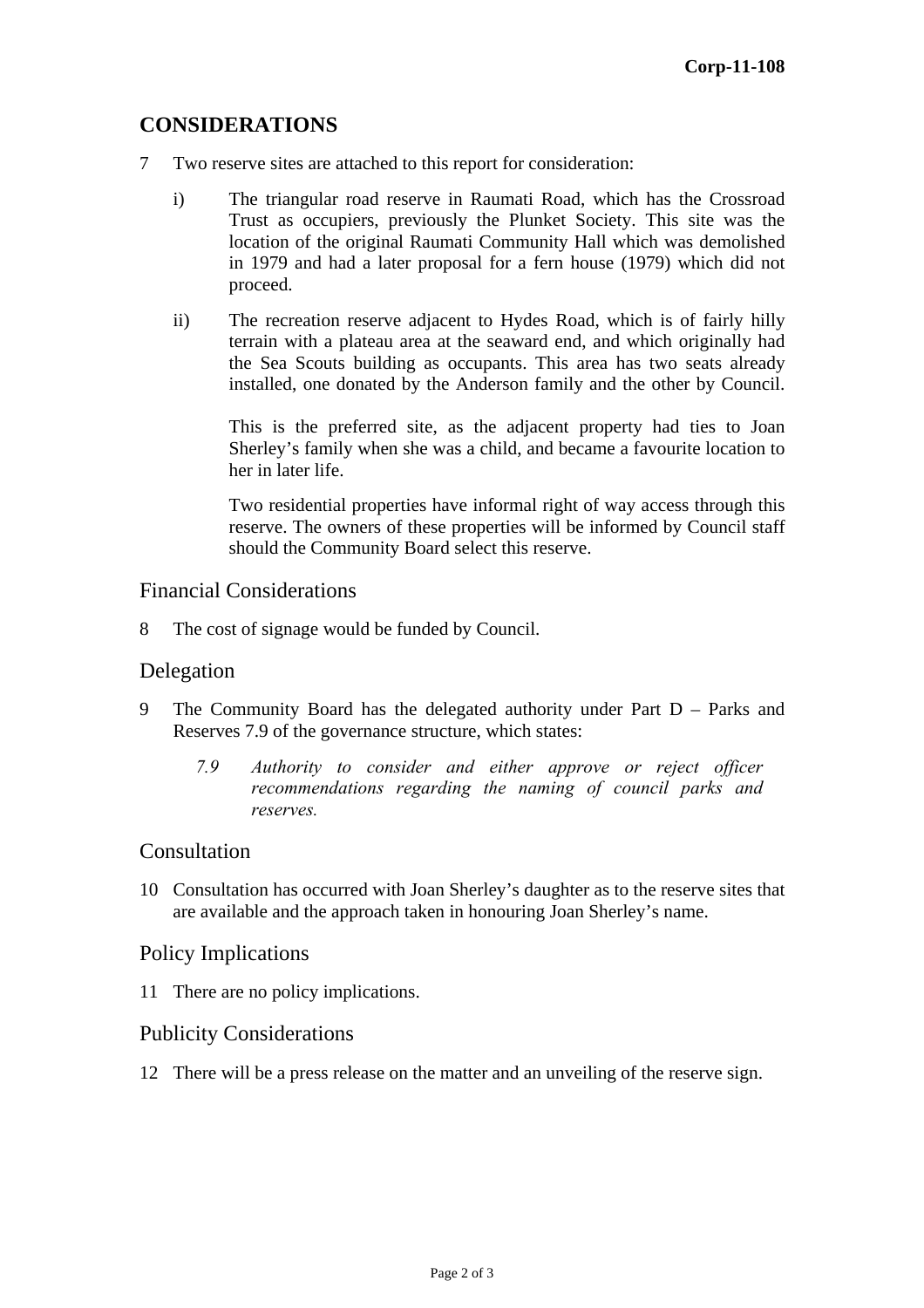# **CONSIDERATIONS**

- 7 Two reserve sites are attached to this report for consideration:
	- i) The triangular road reserve in Raumati Road, which has the Crossroad Trust as occupiers, previously the Plunket Society. This site was the location of the original Raumati Community Hall which was demolished in 1979 and had a later proposal for a fern house (1979) which did not proceed.
	- ii) The recreation reserve adjacent to Hydes Road, which is of fairly hilly terrain with a plateau area at the seaward end, and which originally had the Sea Scouts building as occupants. This area has two seats already installed, one donated by the Anderson family and the other by Council.

This is the preferred site, as the adjacent property had ties to Joan Sherley's family when she was a child, and became a favourite location to her in later life.

Two residential properties have informal right of way access through this reserve. The owners of these properties will be informed by Council staff should the Community Board select this reserve.

#### Financial Considerations

8 The cost of signage would be funded by Council.

#### Delegation

- 9 The Community Board has the delegated authority under Part D Parks and Reserves 7.9 of the governance structure, which states:
	- *7.9 Authority to consider and either approve or reject officer recommendations regarding the naming of council parks and reserves.*

#### Consultation

10 Consultation has occurred with Joan Sherley's daughter as to the reserve sites that are available and the approach taken in honouring Joan Sherley's name.

#### Policy Implications

11 There are no policy implications.

#### Publicity Considerations

12 There will be a press release on the matter and an unveiling of the reserve sign.